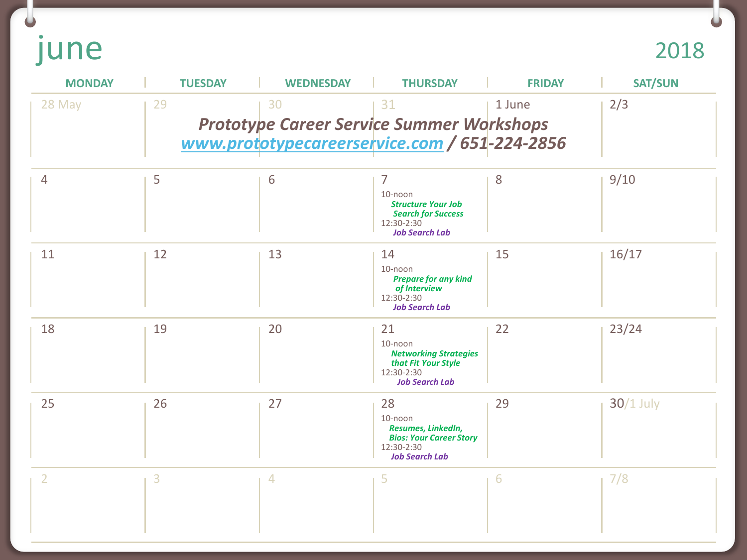june

 $\bullet$ 

| <b>MONDAY</b>  | <b>TUESDAY</b> | <b>WEDNESDAY</b> | <b>THURSDAY</b>                                                                                                | <b>FRIDAY</b> | <b>SAT/SUN</b> |
|----------------|----------------|------------------|----------------------------------------------------------------------------------------------------------------|---------------|----------------|
| 28 May         | 29             | 30               | 31<br><b>Prototype Career Service Summer Workshops</b><br>www.prototypecareerservice.com / 651-224-2856        | 1 June        | 2/3            |
| $\overline{4}$ | 5              | 6                | 7<br>10-noon<br><b>Structure Your Job</b><br><b>Search for Success</b><br>12:30-2:30<br><b>Job Search Lab</b>  | 8             | 9/10           |
| 11             | 12             | 13               | 14<br>$10$ -noon<br><b>Prepare for any kind</b><br>of Interview<br>12:30-2:30<br><b>Job Search Lab</b>         | 15            | 16/17          |
| 18             | 19             | 20               | 21<br>$10$ -noon<br><b>Networking Strategies</b><br>that Fit Your Style<br>12:30-2:30<br><b>Job Search Lab</b> | 22            | 23/24          |
| 25             | 26             | 27               | 28<br>10-noon<br>Resumes, LinkedIn,<br><b>Bios: Your Career Story</b><br>12:30-2:30<br><b>Job Search Lab</b>   | 29            | $30/1$ July    |
| 2              | 3              | 4                | 5                                                                                                              | 6             | 7/8            |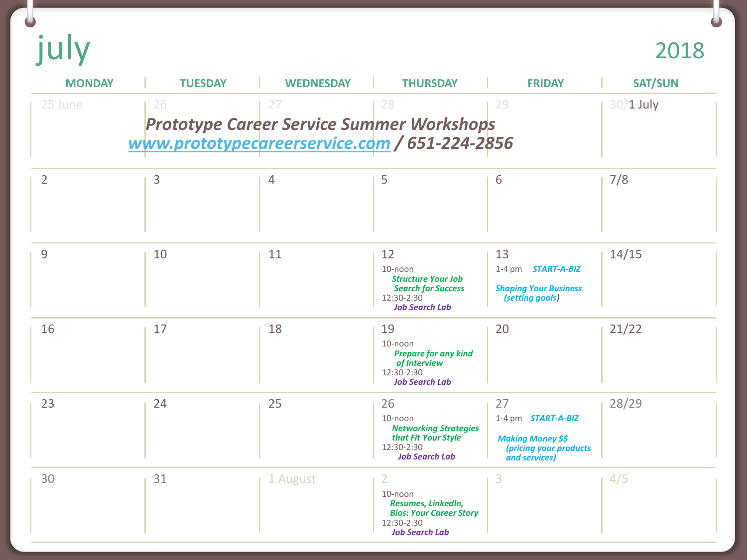u<br>july

2018

 $\bullet$ 

| <b>MONDAY</b>  | <b>TUESDAY</b>                                      | <b>WEDNESDAY</b> | <b>THURSDAY</b>                                                                                                          | <b>FRIDAY</b>                                                                                          | <b>SAT/SUN</b> |
|----------------|-----------------------------------------------------|------------------|--------------------------------------------------------------------------------------------------------------------------|--------------------------------------------------------------------------------------------------------|----------------|
| 25 June        | 26<br>www.prototypecareerservice.com / 651-224-2856 | 27               | 28<br><b>Prototype Career Service Summer Workshops</b>                                                                   | 29                                                                                                     | $30/1$ July    |
| $\overline{2}$ | 3                                                   | 4                | 5                                                                                                                        | 6                                                                                                      | 7/8            |
| 9              | 10                                                  | 11               | 12<br>10-noon<br><b>Structure Your Job</b><br><b>Search for Success</b><br>12:30-2:30<br><b>Job Search Lab</b>           | 13<br>1-4 pm <b>START-A-BIZ</b><br><b>Shaping Your Business</b><br>(setting goals)                     | 14/15          |
| 16             | 17                                                  | 18               | 19<br>10-noon<br><b>Prepare for any kind</b><br>of Interview<br>12:30-2:30<br><b>Job Search Lab</b>                      | 20                                                                                                     | 21/22          |
| 23             | 24                                                  | 25               | 26<br>10-noon<br><b>Networking Strategies</b><br>that Fit Your Style<br>12:30-2:30<br><b>Job Search Lab</b>              | 27<br>1-4 pm <b>START-A-BIZ</b><br><b>Making Money \$\$</b><br>(pricing your products<br>and services) | 28/29          |
| 30             | 31                                                  | 1 August         | $\overline{2}$<br>10-noon<br>Resumes, LinkedIn,<br><b>Bios: Your Career Story</b><br>12:30-2:30<br><b>Job Search Lab</b> | 3                                                                                                      | 4/5            |